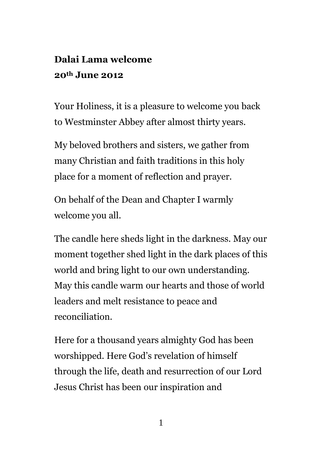## **Dalai Lama welcome 20th June 2012**

Your Holiness, it is a pleasure to welcome you back to Westminster Abbey after almost thirty years.

My beloved brothers and sisters, we gather from many Christian and faith traditions in this holy place for a moment of reflection and prayer.

On behalf of the Dean and Chapter I warmly welcome you all.

The candle here sheds light in the darkness. May our moment together shed light in the dark places of this world and bring light to our own understanding. May this candle warm our hearts and those of world leaders and melt resistance to peace and reconciliation.

Here for a thousand years almighty God has been worshipped. Here God's revelation of himself through the life, death and resurrection of our Lord Jesus Christ has been our inspiration and